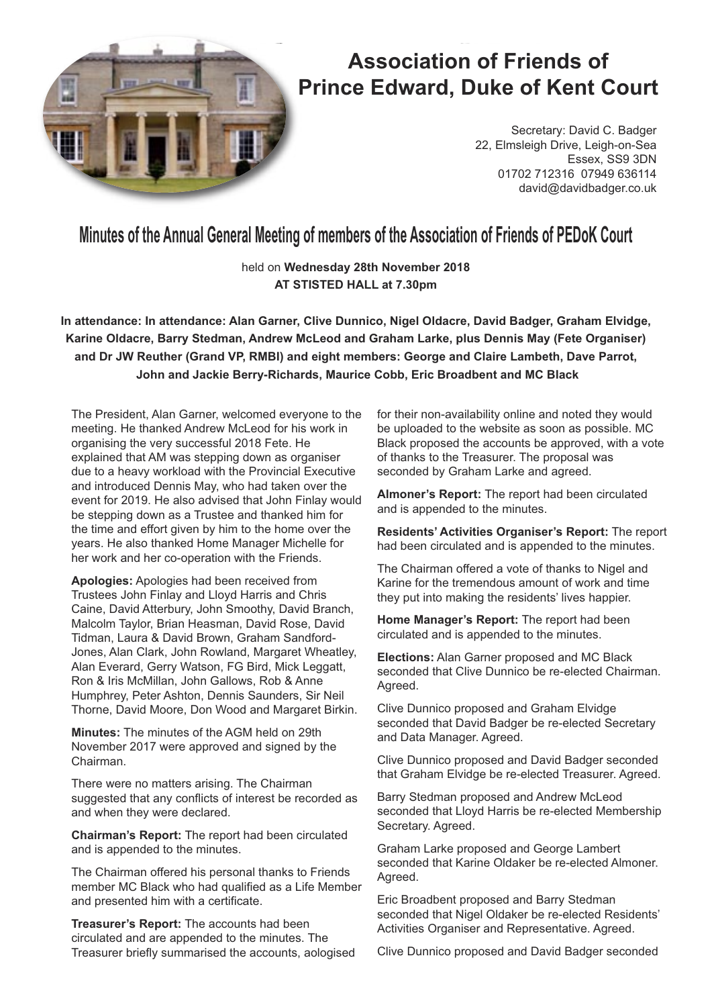

# **Association of Friends of Prince Edward, Duke of Kent Court**

Secretary: David C. Badger 22, Elmsleigh Drive, Leigh-on-Sea Essex, SS9 3DN 01702 712316 07949 636114 david@davidbadger.co.uk

**Minutes of the Annual General Meeting of members of the Association of Friends of PEDoK Court** 

held on **Wednesday 28th November 2018 AT STISTED HALL at 7.30pm**

**In attendance: In attendance: Alan Garner, Clive Dunnico, Nigel Oldacre, David Badger, Graham Elvidge, Karine Oldacre, Barry Stedman, Andrew McLeod and Graham Larke, plus Dennis May (Fete Organiser) and Dr JW Reuther (Grand VP, RMBI) and eight members: George and Claire Lambeth, Dave Parrot, John and Jackie Berry-Richards, Maurice Cobb, Eric Broadbent and MC Black**

The President, Alan Garner, welcomed everyone to the meeting. He thanked Andrew McLeod for his work in organising the very successful 2018 Fete. He explained that AM was stepping down as organiser due to a heavy workload with the Provincial Executive and introduced Dennis May, who had taken over the event for 2019. He also advised that John Finlay would be stepping down as a Trustee and thanked him for the time and effort given by him to the home over the years. He also thanked Home Manager Michelle for her work and her co-operation with the Friends.

**Apologies:** Apologies had been received from Trustees John Finlay and Lloyd Harris and Chris Caine, David Atterbury, John Smoothy, David Branch, Malcolm Taylor, Brian Heasman, David Rose, David Tidman, Laura & David Brown, Graham Sandford-Jones, Alan Clark, John Rowland, Margaret Wheatley, Alan Everard, Gerry Watson, FG Bird, Mick Leggatt, Ron & Iris McMillan, John Gallows, Rob & Anne Humphrey, Peter Ashton, Dennis Saunders, Sir Neil Thorne, David Moore, Don Wood and Margaret Birkin.

**Minutes:** The minutes of the AGM held on 29th November 2017 were approved and signed by the Chairman.

There were no matters arising. The Chairman suggested that any conflicts of interest be recorded as and when they were declared.

**Chairman's Report:** The report had been circulated and is appended to the minutes.

The Chairman offered his personal thanks to Friends member MC Black who had qualified as a Life Member and presented him with a certificate.

**Treasurer's Report:** The accounts had been circulated and are appended to the minutes. The Treasurer briefly summarised the accounts, aologised for their non-availability online and noted they would be uploaded to the website as soon as possible. MC Black proposed the accounts be approved, with a vote of thanks to the Treasurer. The proposal was seconded by Graham Larke and agreed.

**Almoner's Report:** The report had been circulated and is appended to the minutes.

**Residents' Activities Organiser's Report:** The report had been circulated and is appended to the minutes.

The Chairman offered a vote of thanks to Nigel and Karine for the tremendous amount of work and time they put into making the residents' lives happier.

**Home Manager's Report:** The report had been circulated and is appended to the minutes.

**Elections:** Alan Garner proposed and MC Black seconded that Clive Dunnico be re-elected Chairman. Agreed.

Clive Dunnico proposed and Graham Elvidge seconded that David Badger be re-elected Secretary and Data Manager. Agreed.

Clive Dunnico proposed and David Badger seconded that Graham Elvidge be re-elected Treasurer. Agreed.

Barry Stedman proposed and Andrew McLeod seconded that Lloyd Harris be re-elected Membership Secretary. Agreed.

Graham Larke proposed and George Lambert seconded that Karine Oldaker be re-elected Almoner. Agreed.

Eric Broadbent proposed and Barry Stedman seconded that Nigel Oldaker be re-elected Residents' Activities Organiser and Representative. Agreed.

Clive Dunnico proposed and David Badger seconded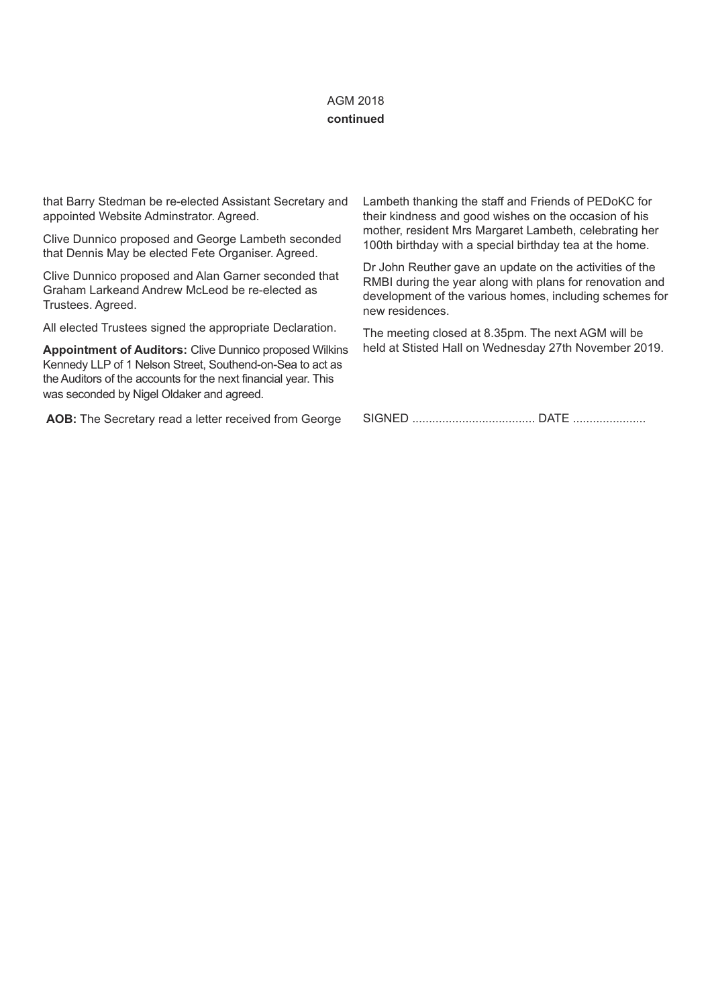# AGM 2018 **continued**

that Barry Stedman be re-elected Assistant Secretary and appointed Website Adminstrator. Agreed.

Clive Dunnico proposed and George Lambeth seconded that Dennis May be elected Fete Organiser. Agreed.

Clive Dunnico proposed and Alan Garner seconded that Graham Larkeand Andrew McLeod be re-elected as Trustees. Agreed.

All elected Trustees signed the appropriate Declaration.

**Appointment of Auditors:** Clive Dunnico proposed Wilkins Kennedy LLP of 1 Nelson Street, Southend-on-Sea to act as the Auditors of the accounts for the next financial year. This was seconded by Nigel Oldaker and agreed.

**AOB:** The Secretary read a letter received from George

Lambeth thanking the staff and Friends of PEDoKC for their kindness and good wishes on the occasion of his mother, resident Mrs Margaret Lambeth, celebrating her 100th birthday with a special birthday tea at the home.

Dr John Reuther gave an update on the activities of the RMBI during the year along with plans for renovation and development of the various homes, including schemes for new residences.

The meeting closed at 8.35pm. The next AGM will be held at Stisted Hall on Wednesday 27th November 2019.

SIGNED ..................................... DATE ......................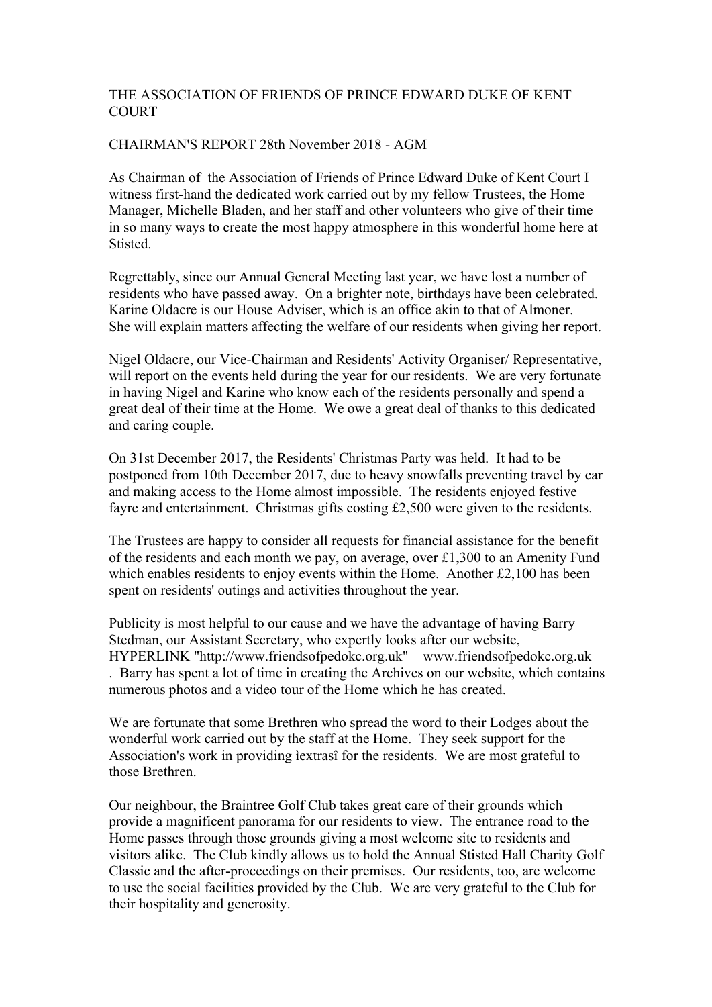# CHAIRMAN'S REPORT 28th November 2018 - AGM

As Chairman of the Association of Friends of Prince Edward Duke of Kent Court I witness first-hand the dedicated work carried out by my fellow Trustees, the Home Manager, Michelle Bladen, and her staff and other volunteers who give of their time in so many ways to create the most happy atmosphere in this wonderful home here at Stisted.

Regrettably, since our Annual General Meeting last year, we have lost a number of residents who have passed away. On a brighter note, birthdays have been celebrated. Karine Oldacre is our House Adviser, which is an office akin to that of Almoner. She will explain matters affecting the welfare of our residents when giving her report.

Nigel Oldacre, our Vice-Chairman and Residents' Activity Organiser/ Representative, will report on the events held during the year for our residents. We are very fortunate in having Nigel and Karine who know each of the residents personally and spend a great deal of their time at the Home. We owe a great deal of thanks to this dedicated and caring couple.

On 31st December 2017, the Residents' Christmas Party was held. It had to be postponed from 10th December 2017, due to heavy snowfalls preventing travel by car and making access to the Home almost impossible. The residents enjoyed festive fayre and entertainment. Christmas gifts costing £2,500 were given to the residents.

The Trustees are happy to consider all requests for financial assistance for the benefit of the residents and each month we pay, on average, over £1,300 to an Amenity Fund which enables residents to enjoy events within the Home. Another £2,100 has been spent on residents' outings and activities throughout the year.

Publicity is most helpful to our cause and we have the advantage of having Barry Stedman, our Assistant Secretary, who expertly looks after our website, HYPERLINK "http://www.friendsofpedokc.org.uk" www.friendsofpedokc.org.uk . Barry has spent a lot of time in creating the Archives on our website, which contains numerous photos and a video tour of the Home which he has created.

We are fortunate that some Brethren who spread the word to their Lodges about the wonderful work carried out by the staff at the Home. They seek support for the Association's work in providing ìextrasî for the residents. We are most grateful to those Brethren.

Our neighbour, the Braintree Golf Club takes great care of their grounds which provide a magnificent panorama for our residents to view. The entrance road to the Home passes through those grounds giving a most welcome site to residents and visitors alike. The Club kindly allows us to hold the Annual Stisted Hall Charity Golf Classic and the after-proceedings on their premises. Our residents, too, are welcome to use the social facilities provided by the Club. We are very grateful to the Club for their hospitality and generosity.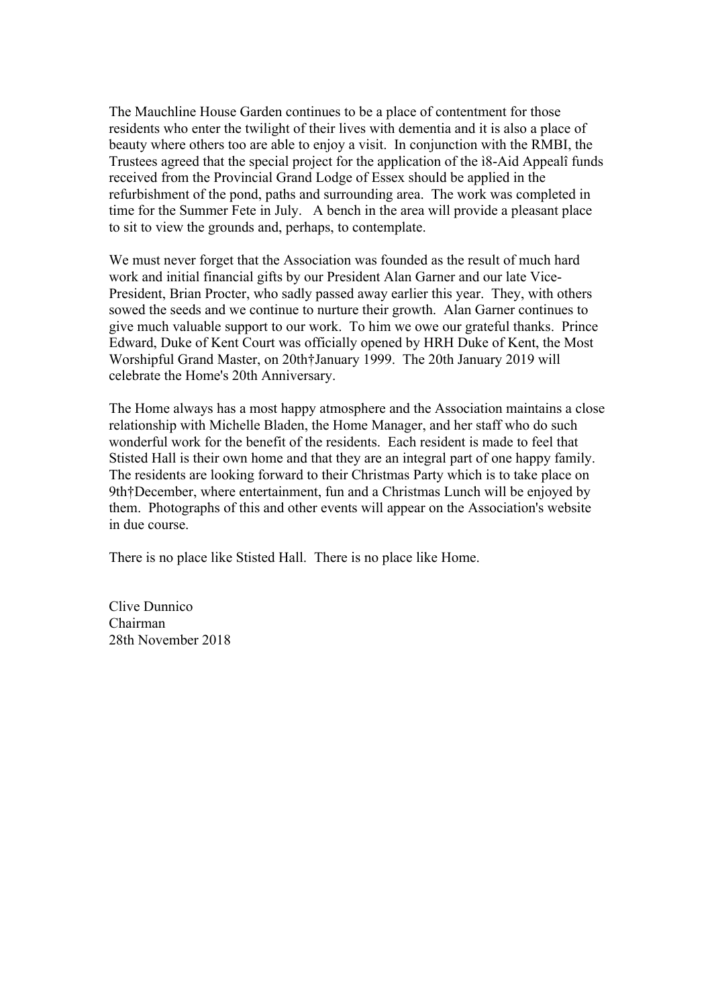The Mauchline House Garden continues to be a place of contentment for those residents who enter the twilight of their lives with dementia and it is also a place of beauty where others too are able to enjoy a visit. In conjunction with the RMBI, the Trustees agreed that the special project for the application of the ì8-Aid Appealî funds received from the Provincial Grand Lodge of Essex should be applied in the refurbishment of the pond, paths and surrounding area. The work was completed in time for the Summer Fete in July. A bench in the area will provide a pleasant place to sit to view the grounds and, perhaps, to contemplate.

We must never forget that the Association was founded as the result of much hard work and initial financial gifts by our President Alan Garner and our late Vice-President, Brian Procter, who sadly passed away earlier this year. They, with others sowed the seeds and we continue to nurture their growth. Alan Garner continues to give much valuable support to our work. To him we owe our grateful thanks. Prince Edward, Duke of Kent Court was officially opened by HRH Duke of Kent, the Most Worshipful Grand Master, on 20th†January 1999. The 20th January 2019 will celebrate the Home's 20th Anniversary.

The Home always has a most happy atmosphere and the Association maintains a close relationship with Michelle Bladen, the Home Manager, and her staff who do such wonderful work for the benefit of the residents. Each resident is made to feel that Stisted Hall is their own home and that they are an integral part of one happy family. The residents are looking forward to their Christmas Party which is to take place on 9th†December, where entertainment, fun and a Christmas Lunch will be enjoyed by them. Photographs of this and other events will appear on the Association's website in due course.

There is no place like Stisted Hall. There is no place like Home.

Clive Dunnico Chairman 28th November 2018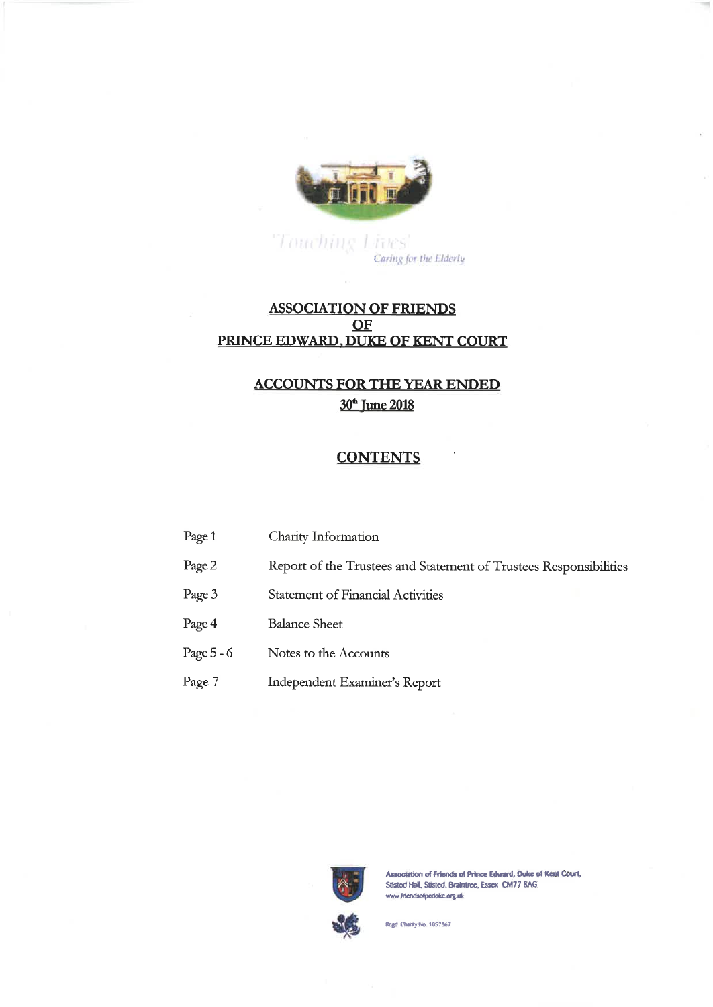

 $\label{eq:interf} \begin{array}{l} \textcolor{gray}{\textcolor{gray}{\textbf{Tr}(x)}} & \textcolor{gray}{\textcolor{gray}{\textbf{Tr}(x)}} \\ \textcolor{gray}{\textbf{C}aring for the Elderly}} \end{array}$ 

# **ASSOCIATION OF FRIENDS** OF PRINCE EDWARD, DUKE OF KENT COURT

# **ACCOUNTS FOR THE YEAR ENDED** 30<sup>th</sup> June 2018

# **CONTENTS**

| Page 1     | Charity Information                                               |
|------------|-------------------------------------------------------------------|
| Page 2     | Report of the Trustees and Statement of Trustees Responsibilities |
| Page 3     | <b>Statement of Financial Activities</b>                          |
| Page 4     | <b>Balance Sheet</b>                                              |
| Page 5 - 6 | Notes to the Accounts                                             |
| Page 7     | Independent Examiner's Report                                     |
|            |                                                                   |



Association of Friends of Prince Edward, Duke of Kent Court, Stisted Hall, Stisted, Braintree, Essex CM77 8AG www.friendsofpedokc.org.uk

Regd. Charity No. 1057867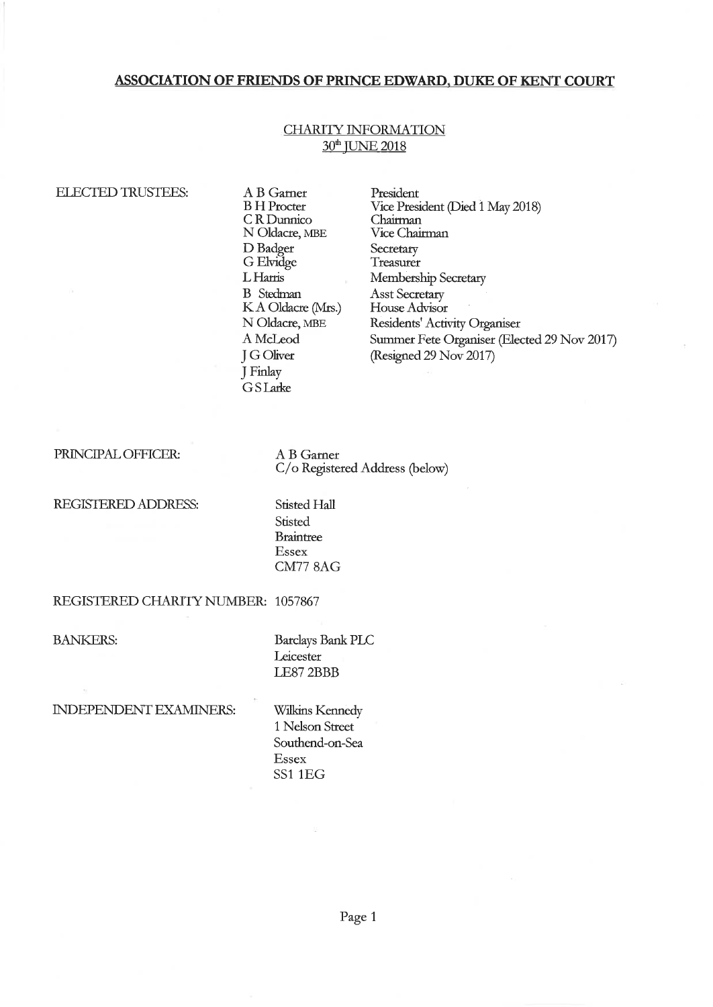## **CHARITY INFORMATION** 30<sup>th</sup> JUNE 2018

#### **ELECTED TRUSTEES:**

- A B Garner **B** H Procter CR Dunnico N Oldacre, MBE D Badger G Elvidge L Harris **B** Stedman K A Oldacre (Mrs.) N Oldacre, MBE A McLeod **J G Oliver** J Finlay GSLarke
- President Vice President (Died 1 May 2018) Chairman Vice Chairman Secretary Treasurer Membership Secretary Asst Secretary House Advisor Residents' Activity Organiser Summer Fete Organiser (Elected 29 Nov 2017) (Resigned 29 Nov 2017)

PRINCIPAL OFFICER:

A B Garner C/o Registered Address (below)

REGISTERED ADDRESS:

Stisted Hall **Stisted Braintree** Essex **CM77 8AG** 

#### REGISTERED CHARITY NUMBER: 1057867

**BANKERS:** 

**Barclays Bank PLC** Leicester LE87 2BBB

INDEPENDENT EXAMINERS:

Wilkins Kennedy 1 Nelson Street Southend-on-Sea **Essex** SS1 1EG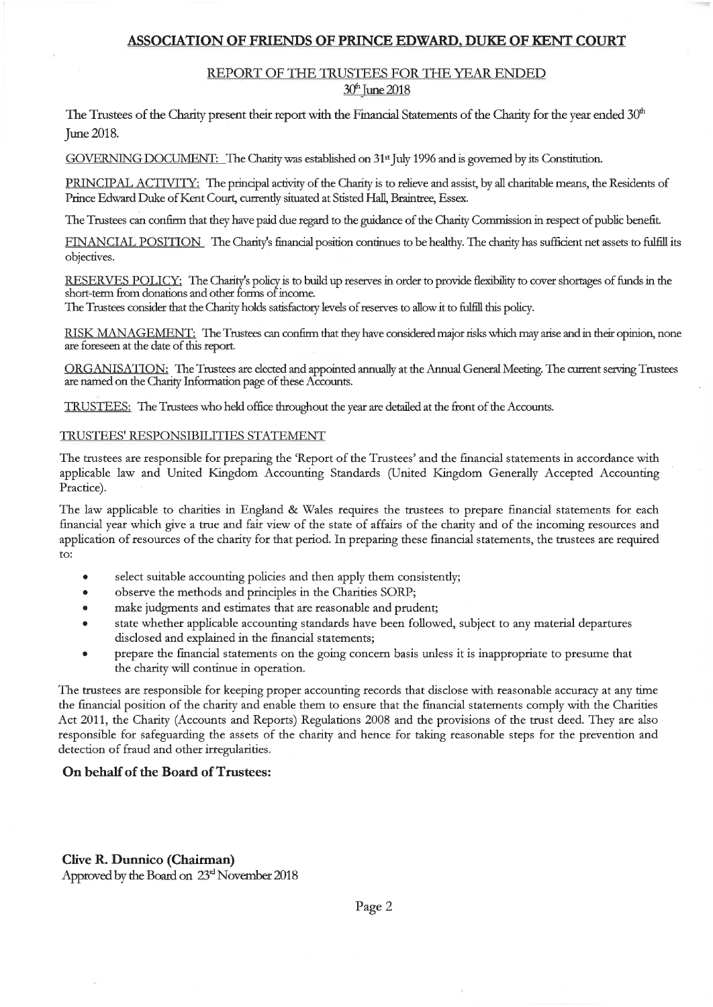# REPORT OF THE TRUSTEES FOR THE YEAR ENDED

# 30<sup>th</sup> June 2018

The Trustees of the Charity present their report with the Financial Statements of the Charity for the year ended 30<sup>th</sup> June 2018.

GOVERNING DOCUMENT: The Charity was established on 31<sup>st</sup> July 1996 and is governed by its Constitution.

PRINCIPAL ACTIVITY: The principal activity of the Charity is to relieve and assist, by all charitable means, the Residents of Prince Edward Duke of Kent Court, currently situated at Stisted Hall, Braintree, Essex.

The Trustees can confirm that they have paid due regard to the guidance of the Charity Commission in respect of public benefit.

FINANCIAL POSITION The Charity's financial position continues to be healthy. The charity has sufficient net assets to fulfill its objectives.

RESERVES POLICY: The Charity's policy is to build up reserves in order to provide flexibility to cover shortages of funds in the short-term from donations and other forms of income.

The Trustees consider that the Charity holds satisfactory levels of reserves to allow it to fulfill this policy.

RISK MANAGEMENT: The Trustees can confirm that they have considered major risks which may arise and in their opinion, none are foreseen at the date of this report.

ORGANISATION: The Trustees are elected and appointed annually at the Annual General Meeting. The current serving Trustees are named on the Charity Information page of these Accounts.

TRUSTEES: The Trustees who held office throughout the year are detailed at the front of the Accounts.

#### TRUSTEES' RESPONSIBILITIES STATEMENT

The trustees are responsible for preparing the 'Report of the Trustees' and the financial statements in accordance with applicable law and United Kingdom Accounting Standards (United Kingdom Generally Accepted Accounting Practice).

The law applicable to charities in England & Wales requires the trustees to prepare financial statements for each financial year which give a true and fair view of the state of affairs of the charity and of the incoming resources and application of resources of the charity for that period. In preparing these financial statements, the trustees are required  $\mathsf{to}$ :

- select suitable accounting policies and then apply them consistently;
- observe the methods and principles in the Charities SORP;
- make judgments and estimates that are reasonable and prudent;
- state whether applicable accounting standards have been followed, subject to any material departures disclosed and explained in the financial statements;
- prepare the financial statements on the going concern basis unless it is inappropriate to presume that the charity will continue in operation.

The trustees are responsible for keeping proper accounting records that disclose with reasonable accuracy at any time the financial position of the charity and enable them to ensure that the financial statements comply with the Charities Act 2011, the Charity (Accounts and Reports) Regulations 2008 and the provisions of the trust deed. They are also responsible for safeguarding the assets of the charity and hence for taking reasonable steps for the prevention and detection of fraud and other irregularities.

#### On behalf of the Board of Trustees:

# **Clive R. Dunnico (Chairman)**

Approved by the Board on 23<sup>rd</sup> November 2018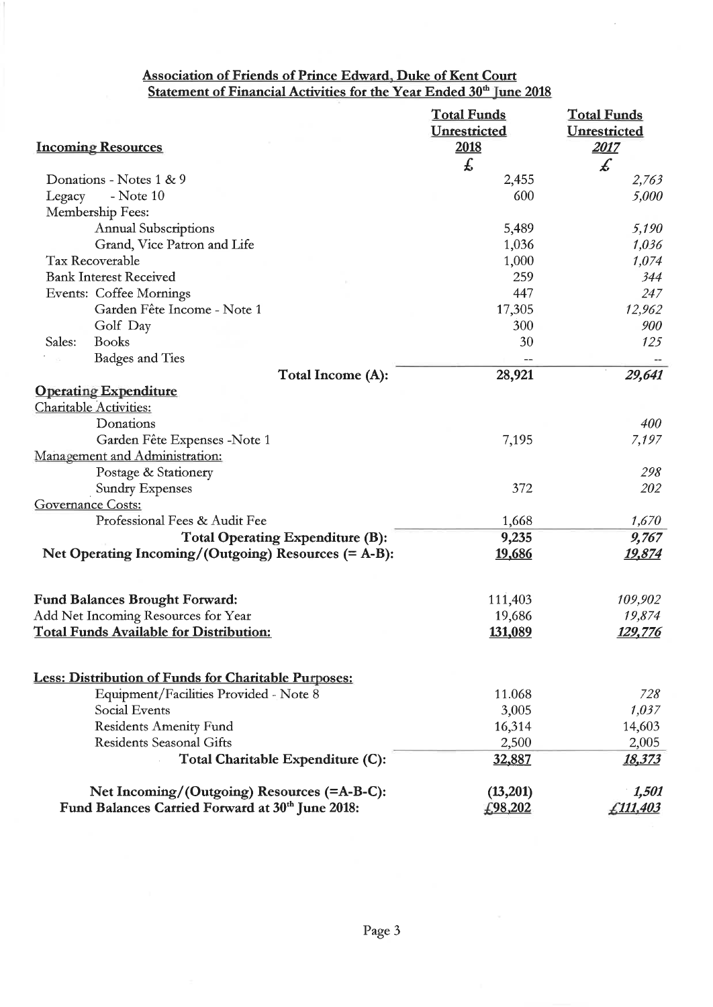# Association of Friends of Prince Edward, Duke of Kent Court<br>Statement of Financial Activities for the Year Ended 30<sup>th</sup> June 2018

|                                                                              | <b>Total Funds</b> | <b>Total Funds</b>  |
|------------------------------------------------------------------------------|--------------------|---------------------|
|                                                                              | Unrestricted       | <b>Unrestricted</b> |
| <b>Incoming Resources</b>                                                    | 2018               | 2017                |
|                                                                              | £                  | $\pmb{\mathcal{L}}$ |
| Donations - Notes 1 & 9                                                      | 2,455              | 2,763               |
| $-$ Note $10$<br>Legacy                                                      | 600                | 5,000               |
| Membership Fees:                                                             |                    |                     |
| <b>Annual Subscriptions</b>                                                  | 5,489              | 5,190               |
| Grand, Vice Patron and Life                                                  | 1,036              | 1,036               |
| Tax Recoverable                                                              | 1,000              | 1,074               |
| <b>Bank Interest Received</b>                                                | 259                | 344                 |
| <b>Events: Coffee Mornings</b>                                               | 447                | 247                 |
| Garden Fête Income - Note 1                                                  | 17,305             | 12,962              |
| Golf Day                                                                     | 300                | 900                 |
| Sales:<br><b>Books</b>                                                       | 30                 | 125                 |
| <b>Badges and Ties</b>                                                       |                    |                     |
| Total Income (A):                                                            | 28,921             | 29,641              |
| <b>Operating Expenditure</b>                                                 |                    |                     |
| <b>Charitable Activities:</b>                                                |                    |                     |
| Donations                                                                    |                    | 400                 |
| Garden Fête Expenses -Note 1                                                 | 7,195              | 7,197               |
| Management and Administration:                                               |                    |                     |
| Postage & Stationery                                                         |                    | 298                 |
| <b>Sundry Expenses</b>                                                       | 372                | 202                 |
| <b>Governance Costs:</b>                                                     |                    |                     |
| Professional Fees & Audit Fee                                                | 1,668              | 1,670               |
| Total Operating Expenditure (B):                                             | 9,235              | 9,767               |
| Net Operating Incoming/(Outgoing) Resources (= A-B):                         | 19,686             | <u> 19,874</u>      |
|                                                                              |                    |                     |
|                                                                              | 111,403            | 109,902             |
| <b>Fund Balances Brought Forward:</b><br>Add Net Incoming Resources for Year | 19,686             | 19,874              |
| <b>Total Funds Available for Distribution:</b>                               |                    |                     |
|                                                                              | 131,089            | <u>129,776</u>      |
|                                                                              |                    |                     |
| <b>Less: Distribution of Funds for Charitable Purposes:</b>                  |                    |                     |
| Equipment/Facilities Provided - Note 8                                       | 11.068             | 728                 |
| <b>Social Events</b>                                                         | 3,005              | 1,037               |
| <b>Residents Amenity Fund</b><br><b>Residents Seasonal Gifts</b>             | 16,314             | 14,603              |
|                                                                              | 2,500              | 2,005               |
| Total Charitable Expenditure (C):                                            | 32,887             | 18,373              |
| Net Incoming/(Outgoing) Resources (=A-B-C):                                  | (13,201)           | 1,501               |
| Fund Balances Carried Forward at 30th June 2018:                             | £98,202            | £111,403            |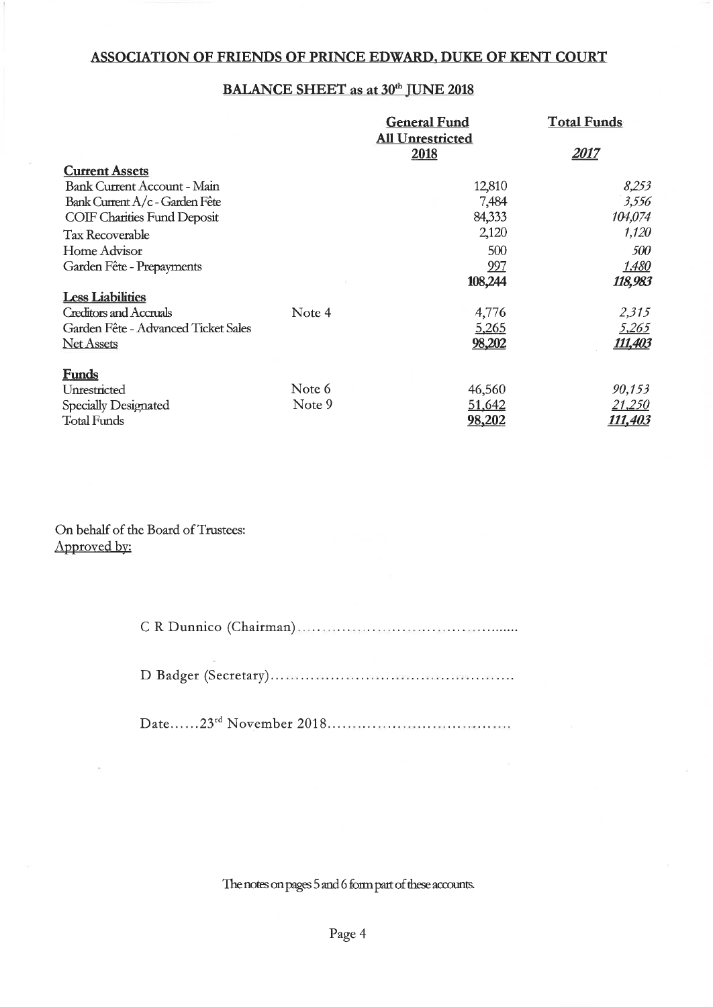# **BALANCE SHEET as at 30th JUNE 2018**

|                                     |        | <b>General Fund</b>     | <b>Total Funds</b> |
|-------------------------------------|--------|-------------------------|--------------------|
|                                     |        | <b>All Unrestricted</b> |                    |
|                                     |        | 2018                    | 2017               |
| <b>Current Assets</b>               |        |                         |                    |
| <b>Bank Current Account - Main</b>  |        | 12,810                  | 8,253              |
| Bank Current A/c - Garden Fête      |        | 7,484                   | 3,556              |
| <b>COIF Charities Fund Deposit</b>  |        | 84,333                  | 104,074            |
| <b>Tax Recoverable</b>              |        | 2,120                   | 1,120              |
| Home Advisor                        |        | 500                     | 500                |
| Garden Fête - Prepayments           |        | 997                     | 1,480              |
|                                     |        | 108,244                 | 118,983            |
| <b>Less Liabilities</b>             |        |                         |                    |
| <b>Creditors and Accruals</b>       | Note 4 | 4,776                   | 2,315              |
| Garden Fête - Advanced Ticket Sales |        | 5,265                   | 5,265              |
| <b>Net Assets</b>                   |        | 98,202                  | <u>111,403</u>     |
| <b>Funds</b>                        |        |                         |                    |
| Unrestricted                        | Note 6 | 46,560                  | 90,153             |
| Specially Designated                | Note 9 | 51,642                  | <u>21,250</u>      |
| <b>Total Funds</b>                  |        | 98,202                  | 111,403            |

On behalf of the Board of Trustees: Approved by:

C R Dunnico (Chairman)

The notes on pages 5 and 6 form part of these accounts.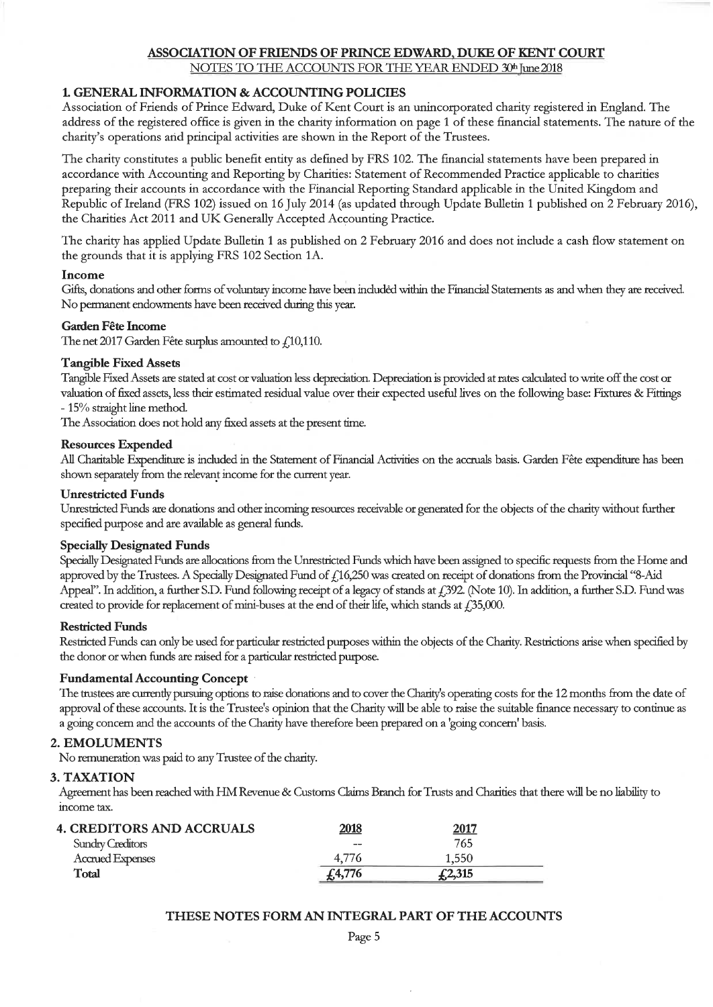NOTES TO THE ACCOUNTS FOR THE YEAR ENDED 30th June 2018

## 1. GENERAL INFORMATION & ACCOUNTING POLICIES

Association of Friends of Prince Edward, Duke of Kent Court is an unincorporated charity registered in England. The address of the registered office is given in the charity information on page 1 of these financial statements. The nature of the charity's operations and principal activities are shown in the Report of the Trustees.

The charity constitutes a public benefit entity as defined by FRS 102. The financial statements have been prepared in accordance with Accounting and Reporting by Charities: Statement of Recommended Practice applicable to charities preparing their accounts in accordance with the Financial Reporting Standard applicable in the United Kingdom and Republic of Ireland (FRS 102) issued on 16 July 2014 (as updated through Update Bulletin 1 published on 2 February 2016), the Charities Act 2011 and UK Generally Accepted Accounting Practice.

The charity has applied Update Bulletin 1 as published on 2 February 2016 and does not include a cash flow statement on the grounds that it is applying FRS 102 Section 1A.

#### Income

Gifts, donations and other forms of voluntary income have been included within the Financial Statements as and when they are received. No permanent endowments have been received during this year.

#### **Garden Fête Income**

The net 2017 Garden Fête surplus amounted to  $f$  10,110.

#### **Tangible Fixed Assets**

Tangible Fixed Assets are stated at cost or valuation less depreciation. Depreciation is provided at rates calculated to write off the cost or valuation of fixed assets, less their estimated residual value over their expected useful lives on the following base: Fixtures & Fittings - 15% straight line method.

The Association does not hold any fixed assets at the present time.

#### **Resources Expended**

All Charitable Expenditure is included in the Statement of Financial Activities on the accruals basis. Garden Fête expenditure has been shown separately from the relevant income for the current year.

#### **Unrestricted Funds**

Unrestricted Funds are donations and other incoming resources receivable or generated for the objects of the charity without further specified purpose and are available as general funds.

#### **Specially Designated Funds**

Specially Designated Funds are allocations from the Unrestricted Funds which have been assigned to specific requests from the Home and approved by the Trustees. A Specially Designated Fund of £16,250 was created on receipt of donations from the Provincial "8-Aid Appeal". In addition, a further S.D. Fund following receipt of a legacy of stands at  $f$ , 392. (Note 10). In addition, a further S.D. Fund was created to provide for replacement of mini-buses at the end of their life, which stands at  $f$ , 35,000.

#### **Restricted Funds**

Restricted Funds can only be used for particular restricted purposes within the objects of the Charity. Restrictions arise when specified by the donor or when funds are raised for a particular restricted purpose.

#### **Fundamental Accounting Concept**

The trustees are currently pursuing options to raise donations and to cover the Charity's operating costs for the 12 months from the date of approval of these accounts. It is the Trustee's opinion that the Charity will be able to raise the suitable finance necessary to continue as a going concern and the accounts of the Charity have therefore been prepared on a 'going concern' basis.

#### 2. EMOLUMENTS

No remuneration was paid to any Trustee of the charity.

#### 3. TAXATION

Agreement has been reached with HM Revenue & Customs Claims Branch for Trusts and Charities that there will be no liability to income tax.

| <b>4. CREDITORS AND ACCRUALS</b> | 2018   | <u> 2017</u> |  |
|----------------------------------|--------|--------------|--|
| <b>Sundry Creditors</b>          | $- -$  | 765          |  |
| Accrued Expenses                 |        | 1.550        |  |
| Total                            | £4,776 | f2,315       |  |

#### THESE NOTES FORM AN INTEGRAL PART OF THE ACCOUNTS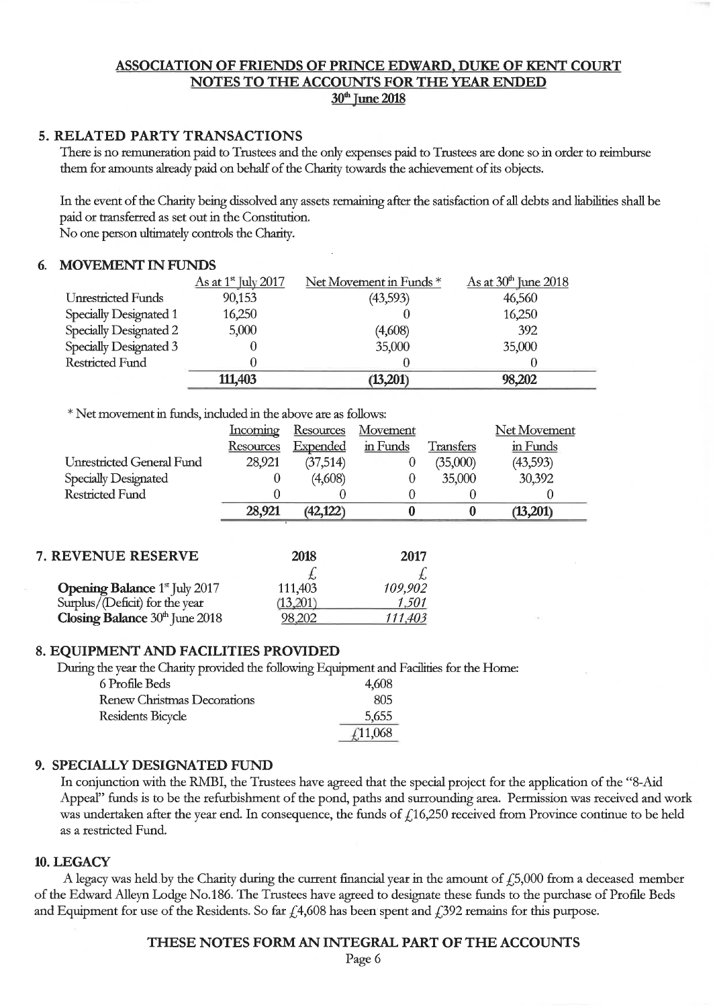## ASSOCIATION OF FRIENDS OF PRINCE EDWARD, DUKE OF KENT COURT NOTES TO THE ACCOUNTS FOR THE YEAR ENDED 30<sup>th</sup> June 2018

# 5. RELATED PARTY TRANSACTIONS

There is no remuneration paid to Trustees and the only expenses paid to Trustees are done so in order to reimburse them for amounts already paid on behalf of the Charity towards the achievement of its objects.

In the event of the Charity being dissolved any assets remaining after the satisfaction of all debts and liabilities shall be paid or transferred as set out in the Constitution. No one person ultimately controls the Charity.

#### **MOVEMENT IN FUNDS**

|                           | $\Delta$ s at 1 <sup>st</sup> July 2017 | Net Movement in Funds * | $\Delta$ s at 30 <sup>th</sup> June 2018 |
|---------------------------|-----------------------------------------|-------------------------|------------------------------------------|
| <b>Unrestricted Funds</b> | 90,153                                  | (43,593)                | 46,560                                   |
| Specially Designated 1    | 16,250                                  |                         | 16,250                                   |
| Specially Designated 2    | 5,000                                   | (4,608)                 | 392                                      |
| Specially Designated 3    |                                         | 35,000                  | 35,000                                   |
| <b>Restricted Fund</b>    |                                         |                         |                                          |
|                           | 111,403                                 | (13,201)                | 98,202                                   |

\* Net movement in funds, included in the above are as follows:

|                                                  | <u>Incoming</u> | <b>Resources</b> | Movement |           | Net Movement |
|--------------------------------------------------|-----------------|------------------|----------|-----------|--------------|
|                                                  | Resources       | Expended         | in Funds | Transfers | in Funds     |
| Unrestricted General Fund                        | 28,921          | (37, 514)        | $\theta$ | (35,000)  | (43,593)     |
| Specially Designated                             | 0               | (4,608)          |          | 35,000    | 30,392       |
| <b>Restricted Fund</b>                           |                 |                  |          |           |              |
|                                                  | 28,921          | (42, 122)        |          | 0         | (13,201)     |
|                                                  |                 |                  |          |           |              |
| 7. REVENUE RESERVE                               |                 | 2018             | 2017     |           |              |
|                                                  |                 |                  |          |           |              |
| <b>Opening Balance</b> 1 <sup>st</sup> July 2017 |                 | 111,403          | 109,902  |           |              |
| Surplus/(Deficit) for the year                   |                 | (13,201)         | 1,501    |           |              |
| Closing Balance $30th$ June $2018$               |                 | 98.202           | 111,403  |           |              |

#### 8. EQUIPMENT AND FACILITIES PROVIDED

During the year the Charity provided the following Equipment and Facilities for the Home:

| 6 Profile Beds              | 4,608   |
|-----------------------------|---------|
| Renew Christmas Decorations | 805     |
| Residents Bicycle           | 5,655   |
|                             | £11,068 |

#### 9. SPECIALLY DESIGNATED FUND

In conjunction with the RMBI, the Trustees have agreed that the special project for the application of the "8-Aid Appeal" funds is to be the refurbishment of the pond, paths and surrounding area. Permission was received and work was undertaken after the year end. In consequence, the funds of  $f$ 16,250 received from Province continue to be held as a restricted Fund.

#### 10. LEGACY

A legacy was held by the Charity during the current financial year in the amount of  $f$ ,5,000 from a deceased member of the Edward Alleyn Lodge No.186. The Trustees have agreed to designate these funds to the purchase of Profile Beds and Equipment for use of the Residents. So far  $f$ 4,608 has been spent and  $f$ 392 remains for this purpose.

#### THESE NOTES FORM AN INTEGRAL PART OF THE ACCOUNTS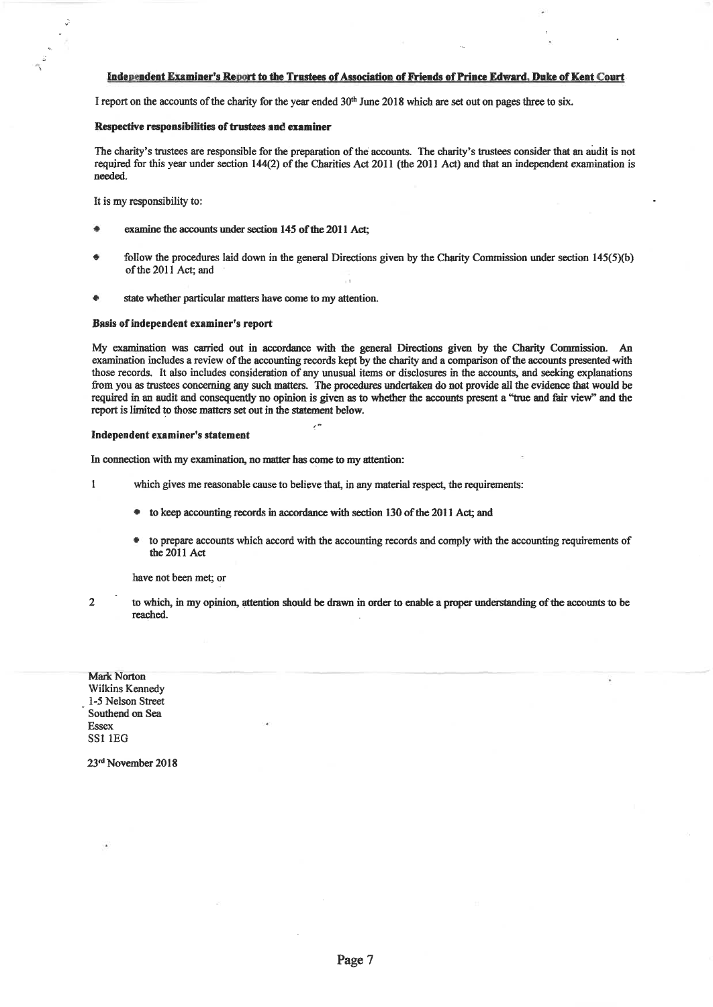#### Independent Examiner's Report to the Trustees of Association of Friends of Prince Edward, Duke of Kent Court

I report on the accounts of the charity for the year ended 30<sup>th</sup> June 2018 which are set out on pages three to six.

#### Respective responsibilities of trustees and examiner

The charity's trustees are responsible for the preparation of the accounts. The charity's trustees consider that an audit is not required for this year under section 144(2) of the Charities Act 2011 (the 2011 Act) and that an independent examination is needed.

It is my responsibility to:

- examine the accounts under section 145 of the 2011 Act:
- follow the procedures laid down in the general Directions given by the Charity Commission under section  $145(5)(b)$ of the 2011 Act; and
- state whether particular matters have come to my attention.

#### Basis of independent examiner's report

My examination was carried out in accordance with the general Directions given by the Charity Commission. An examination includes a review of the accounting records kept by the charity and a comparison of the accounts presented with those records. It also includes consideration of any unusual items or disclosures in the accounts, and seeking explanations from you as trustees concerning any such matters. The procedures undertaken do not provide all the evidence that would be required in an audit and consequently no opinion is given as to whether the accounts present a "true and fair view" and the report is limited to those matters set out in the statement below.

#### Independent examiner's statement

In connection with my examination, no matter has come to my attention:

- $\mathbf{1}$ which gives me reasonable cause to believe that, in any material respect, the requirements:
	- to keep accounting records in accordance with section 130 of the 2011 Act; and
	- to prepare accounts which accord with the accounting records and comply with the accounting requirements of the 2011 Act

have not been met; or

 $\overline{2}$ 

to which, in my opinion, attention should be drawn in order to enable a proper understanding of the accounts to be reached.

**Mark Norton** Wilkins Kennedy 1-5 Nelson Street Southend on Sea **Essex SS1 1EG** 

23rd November 2018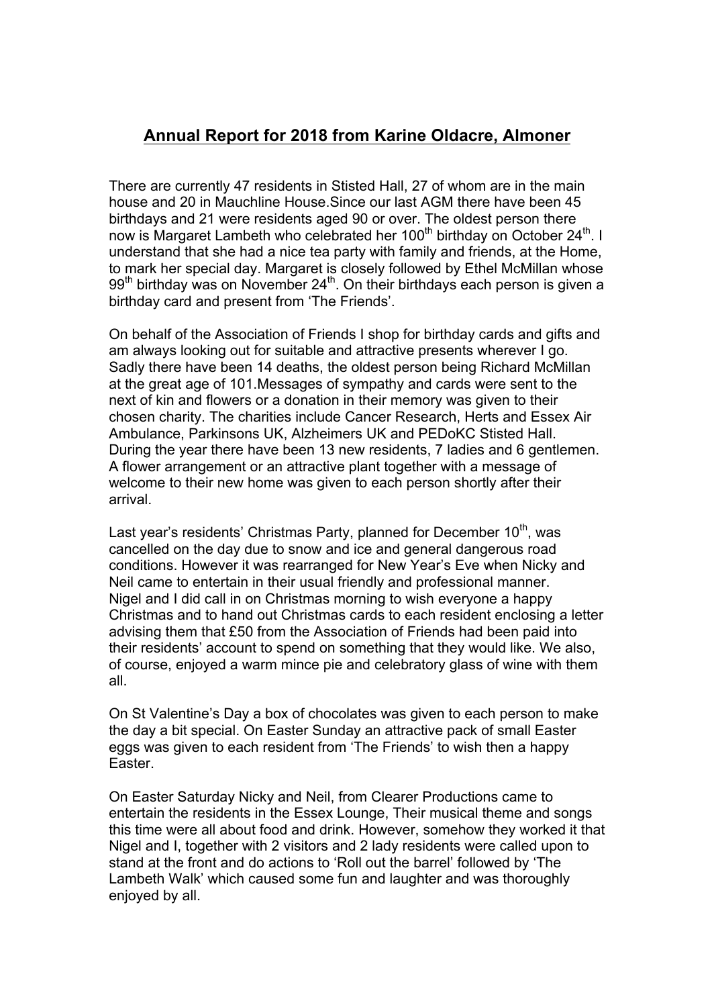# **Annual Report for 2018 from Karine Oldacre, Almoner**

There are currently 47 residents in Stisted Hall, 27 of whom are in the main house and 20 in Mauchline House.Since our last AGM there have been 45 birthdays and 21 were residents aged 90 or over. The oldest person there now is Margaret Lambeth who celebrated her 100<sup>th</sup> birthday on October 24<sup>th</sup>. I understand that she had a nice tea party with family and friends, at the Home, to mark her special day. Margaret is closely followed by Ethel McMillan whose  $99<sup>th</sup>$  birthday was on November 24<sup>th</sup>. On their birthdays each person is given a birthday card and present from 'The Friends'.

On behalf of the Association of Friends I shop for birthday cards and gifts and am always looking out for suitable and attractive presents wherever I go. Sadly there have been 14 deaths, the oldest person being Richard McMillan at the great age of 101.Messages of sympathy and cards were sent to the next of kin and flowers or a donation in their memory was given to their chosen charity. The charities include Cancer Research, Herts and Essex Air Ambulance, Parkinsons UK, Alzheimers UK and PEDoKC Stisted Hall. During the year there have been 13 new residents, 7 ladies and 6 gentlemen. A flower arrangement or an attractive plant together with a message of welcome to their new home was given to each person shortly after their arrival.

Last year's residents' Christmas Party, planned for December 10<sup>th</sup>, was cancelled on the day due to snow and ice and general dangerous road conditions. However it was rearranged for New Year's Eve when Nicky and Neil came to entertain in their usual friendly and professional manner. Nigel and I did call in on Christmas morning to wish everyone a happy Christmas and to hand out Christmas cards to each resident enclosing a letter advising them that £50 from the Association of Friends had been paid into their residents' account to spend on something that they would like. We also, of course, enjoyed a warm mince pie and celebratory glass of wine with them all.

On St Valentine's Day a box of chocolates was given to each person to make the day a bit special. On Easter Sunday an attractive pack of small Easter eggs was given to each resident from 'The Friends' to wish then a happy Easter.

On Easter Saturday Nicky and Neil, from Clearer Productions came to entertain the residents in the Essex Lounge, Their musical theme and songs this time were all about food and drink. However, somehow they worked it that Nigel and I, together with 2 visitors and 2 lady residents were called upon to stand at the front and do actions to 'Roll out the barrel' followed by 'The Lambeth Walk' which caused some fun and laughter and was thoroughly enjoyed by all.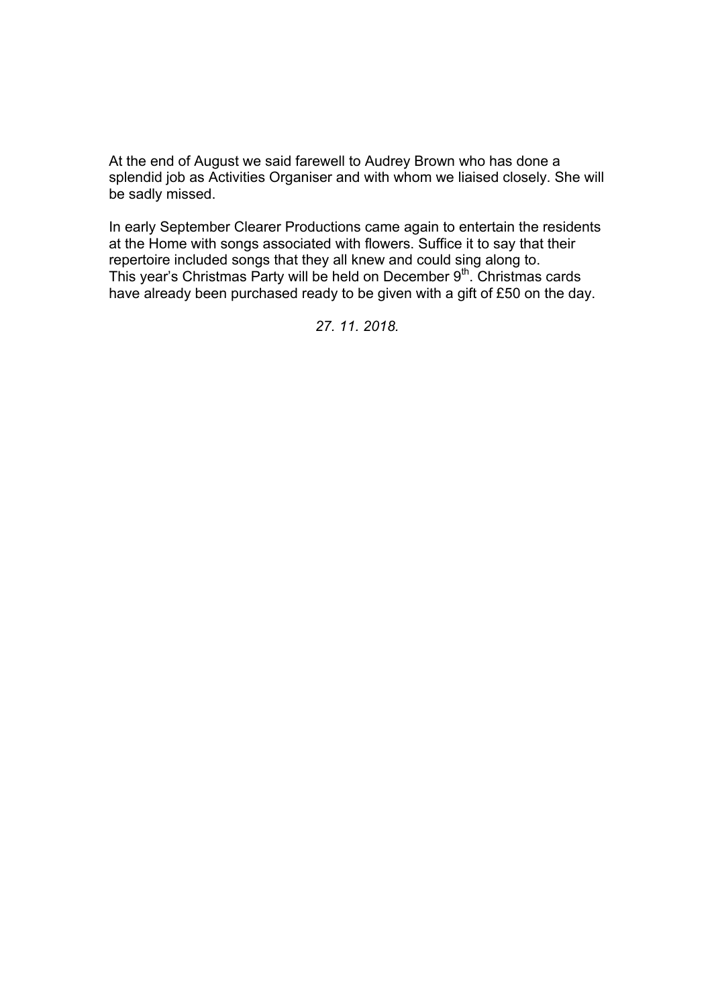At the end of August we said farewell to Audrey Brown who has done a splendid job as Activities Organiser and with whom we liaised closely. She will be sadly missed.

In early September Clearer Productions came again to entertain the residents at the Home with songs associated with flowers. Suffice it to say that their repertoire included songs that they all knew and could sing along to. This year's Christmas Party will be held on December 9th. Christmas cards have already been purchased ready to be given with a gift of £50 on the day.

*27. 11. 2018.*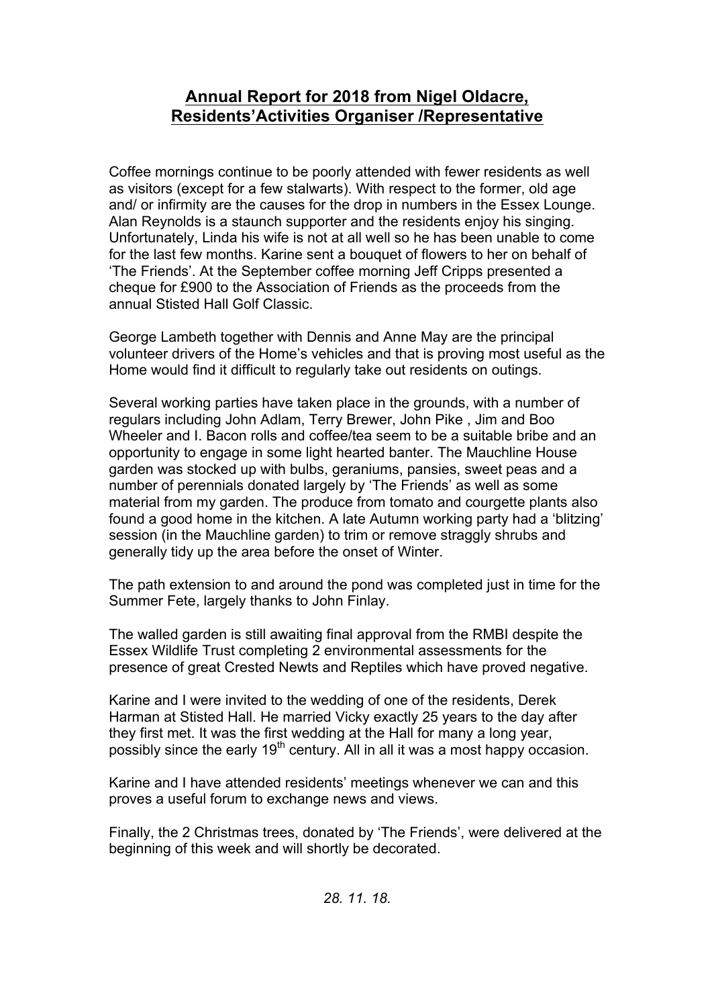# **Annual Report for 2018 from Nigel Oldacre, Residents'Activities Organiser /Representative**

Coffee mornings continue to be poorly attended with fewer residents as well as visitors (except for a few stalwarts). With respect to the former, old age and/ or infirmity are the causes for the drop in numbers in the Essex Lounge. Alan Reynolds is a staunch supporter and the residents enjoy his singing. Unfortunately, Linda his wife is not at all well so he has been unable to come for the last few months. Karine sent a bouquet of flowers to her on behalf of 'The Friends'. At the September coffee morning Jeff Cripps presented a cheque for £900 to the Association of Friends as the proceeds from the annual Stisted Hall Golf Classic.

George Lambeth together with Dennis and Anne May are the principal volunteer drivers of the Home's vehicles and that is proving most useful as the Home would find it difficult to regularly take out residents on outings.

Several working parties have taken place in the grounds, with a number of regulars including John Adlam, Terry Brewer, John Pike , Jim and Boo Wheeler and I. Bacon rolls and coffee/tea seem to be a suitable bribe and an opportunity to engage in some light hearted banter. The Mauchline House garden was stocked up with bulbs, geraniums, pansies, sweet peas and a number of perennials donated largely by 'The Friends' as well as some material from my garden. The produce from tomato and courgette plants also found a good home in the kitchen. A late Autumn working party had a 'blitzing' session (in the Mauchline garden) to trim or remove straggly shrubs and generally tidy up the area before the onset of Winter.

The path extension to and around the pond was completed just in time for the Summer Fete, largely thanks to John Finlay.

The walled garden is still awaiting final approval from the RMBI despite the Essex Wildlife Trust completing 2 environmental assessments for the presence of great Crested Newts and Reptiles which have proved negative.

Karine and I were invited to the wedding of one of the residents, Derek Harman at Stisted Hall. He married Vicky exactly 25 years to the day after they first met. It was the first wedding at the Hall for many a long year, possibly since the early  $19<sup>th</sup>$  century. All in all it was a most happy occasion.

Karine and I have attended residents' meetings whenever we can and this proves a useful forum to exchange news and views.

Finally, the 2 Christmas trees, donated by 'The Friends', were delivered at the beginning of this week and will shortly be decorated.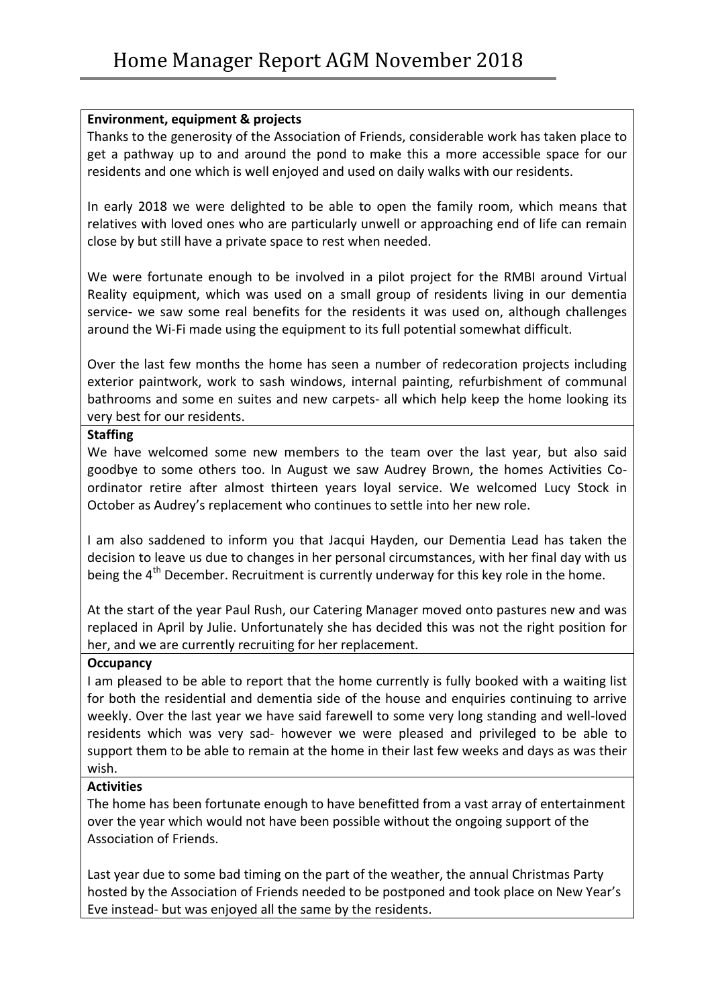# **Environment, equipment & projects**

Thanks to the generosity of the Association of Friends, considerable work has taken place to get a pathway up to and around the pond to make this a more accessible space for our residents and one which is well enjoyed and used on daily walks with our residents.

In early 2018 we were delighted to be able to open the family room, which means that relatives with loved ones who are particularly unwell or approaching end of life can remain close by but still have a private space to rest when needed.

We were fortunate enough to be involved in a pilot project for the RMBI around Virtual Reality equipment, which was used on a small group of residents living in our dementia service- we saw some real benefits for the residents it was used on, although challenges around the Wi-Fi made using the equipment to its full potential somewhat difficult.

Over the last few months the home has seen a number of redecoration projects including exterior paintwork, work to sash windows, internal painting, refurbishment of communal bathrooms and some en suites and new carpets- all which help keep the home looking its very best for our residents.

## **Staffing**

We have welcomed some new members to the team over the last year, but also said goodbye to some others too. In August we saw Audrey Brown, the homes Activities Coordinator retire after almost thirteen years loyal service. We welcomed Lucy Stock in October as Audrey's replacement who continues to settle into her new role.

I am also saddened to inform you that Jacqui Hayden, our Dementia Lead has taken the decision to leave us due to changes in her personal circumstances, with her final day with us being the  $4<sup>th</sup>$  December. Recruitment is currently underway for this key role in the home.

At the start of the year Paul Rush, our Catering Manager moved onto pastures new and was replaced in April by Julie. Unfortunately she has decided this was not the right position for her, and we are currently recruiting for her replacement.

# **Occupancy**

I am pleased to be able to report that the home currently is fully booked with a waiting list for both the residential and dementia side of the house and enquiries continuing to arrive weekly. Over the last year we have said farewell to some very long standing and well-loved residents which was very sad- however we were pleased and privileged to be able to support them to be able to remain at the home in their last few weeks and days as was their wish. 

# **Activities**

The home has been fortunate enough to have benefitted from a vast array of entertainment over the year which would not have been possible without the ongoing support of the Association of Friends.

Last year due to some bad timing on the part of the weather, the annual Christmas Party hosted by the Association of Friends needed to be postponed and took place on New Year's Eve instead- but was enjoyed all the same by the residents.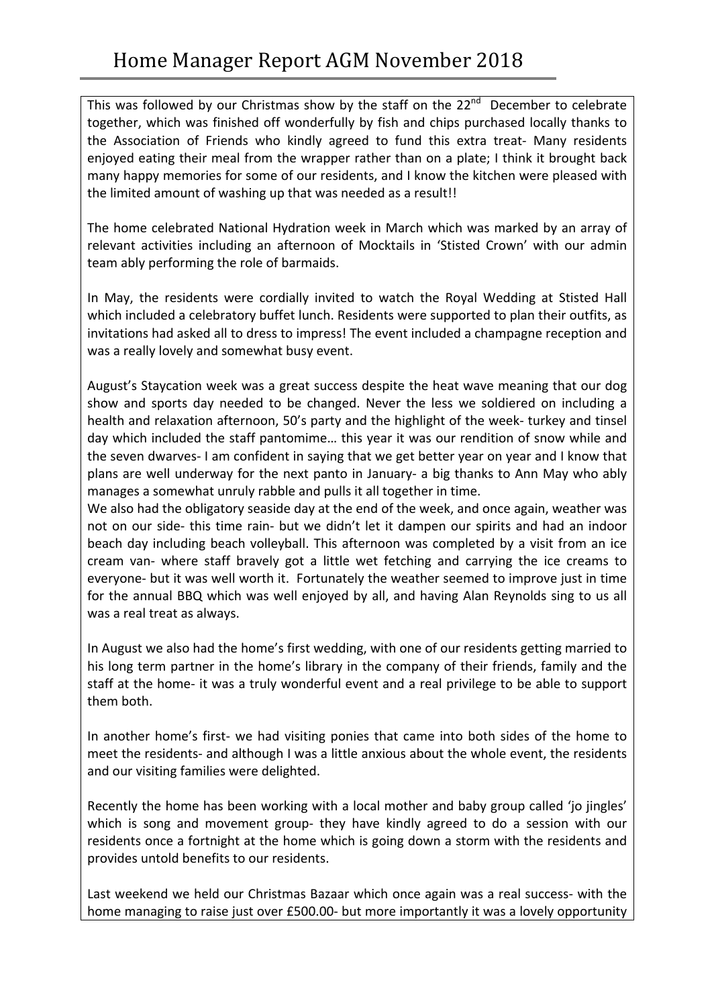This was followed by our Christmas show by the staff on the  $22^{nd}$  December to celebrate together, which was finished off wonderfully by fish and chips purchased locally thanks to the Association of Friends who kindly agreed to fund this extra treat- Many residents enjoyed eating their meal from the wrapper rather than on a plate; I think it brought back many happy memories for some of our residents, and I know the kitchen were pleased with the limited amount of washing up that was needed as a result!!

The home celebrated National Hydration week in March which was marked by an array of relevant activities including an afternoon of Mocktails in 'Stisted Crown' with our admin team ably performing the role of barmaids.

In May, the residents were cordially invited to watch the Royal Wedding at Stisted Hall which included a celebratory buffet lunch. Residents were supported to plan their outfits, as invitations had asked all to dress to impress! The event included a champagne reception and was a really lovely and somewhat busy event.

August's Staycation week was a great success despite the heat wave meaning that our dog show and sports day needed to be changed. Never the less we soldiered on including a health and relaxation afternoon, 50's party and the highlight of the week- turkey and tinsel day which included the staff pantomime... this year it was our rendition of snow while and the seven dwarves- I am confident in saying that we get better year on year and I know that plans are well underway for the next panto in January- a big thanks to Ann May who ably manages a somewhat unruly rabble and pulls it all together in time.

We also had the obligatory seaside day at the end of the week, and once again, weather was not on our side- this time rain- but we didn't let it dampen our spirits and had an indoor beach day including beach volleyball. This afternoon was completed by a visit from an ice cream van- where staff bravely got a little wet fetching and carrying the ice creams to everyone- but it was well worth it. Fortunately the weather seemed to improve just in time for the annual BBQ which was well enjoyed by all, and having Alan Reynolds sing to us all was a real treat as always.

In August we also had the home's first wedding, with one of our residents getting married to his long term partner in the home's library in the company of their friends, family and the staff at the home- it was a truly wonderful event and a real privilege to be able to support them both.

In another home's first- we had visiting ponies that came into both sides of the home to meet the residents- and although I was a little anxious about the whole event, the residents and our visiting families were delighted.

Recently the home has been working with a local mother and baby group called 'jo jingles' which is song and movement group- they have kindly agreed to do a session with our residents once a fortnight at the home which is going down a storm with the residents and provides untold benefits to our residents.

Last weekend we held our Christmas Bazaar which once again was a real success- with the home managing to raise just over £500.00- but more importantly it was a lovely opportunity